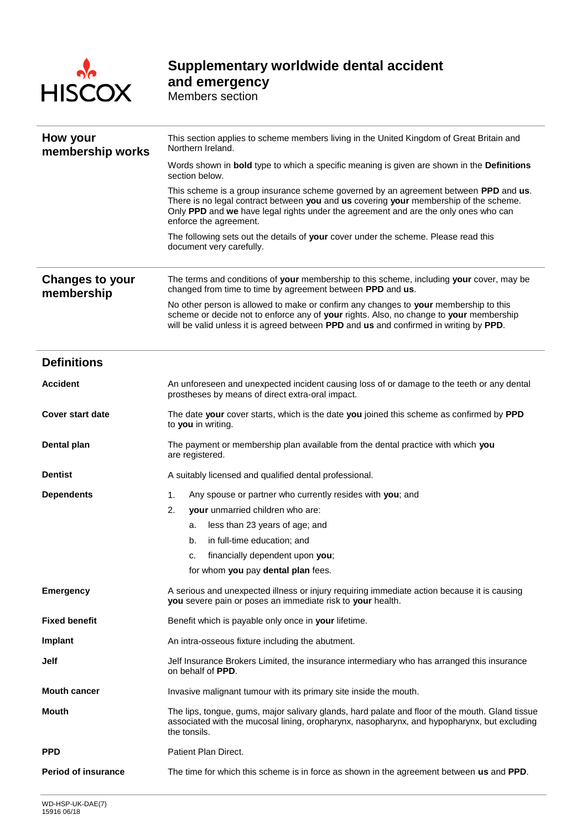

#### **Supplementary worldwide dental accident and emergency** Members section

**How your membership works** This section applies to scheme members living in the United Kingdom of Great Britain and Northern Ireland. Words shown in **bold** type to which a specific meaning is given are shown in the **Definitions** section below. This scheme is a group insurance scheme governed by an agreement between **PPD** and **us**. There is no legal contract between **you** and **us** covering **your** membership of the scheme. Only **PPD** and **we** have legal rights under the agreement and are the only ones who can enforce the agreement. The following sets out the details of **your** cover under the scheme. Please read this document very carefully. **Changes to your membership** The terms and conditions of **your** membership to this scheme, including **your** cover, may be changed from time to time by agreement between **PPD** and **us**. No other person is allowed to make or confirm any changes to **your** membership to this scheme or decide not to enforce any of **your** rights. Also, no change to **your** membership will be valid unless it is agreed between **PPD** and **us** and confirmed in writing by **PPD**.

| <b>Definitions</b>         |                                                                                                                                                                                                                |  |  |
|----------------------------|----------------------------------------------------------------------------------------------------------------------------------------------------------------------------------------------------------------|--|--|
| <b>Accident</b>            | An unforeseen and unexpected incident causing loss of or damage to the teeth or any dental<br>prostheses by means of direct extra-oral impact.                                                                 |  |  |
| <b>Cover start date</b>    | The date your cover starts, which is the date you joined this scheme as confirmed by PPD<br>to you in writing.                                                                                                 |  |  |
| Dental plan                | The payment or membership plan available from the dental practice with which you<br>are registered.                                                                                                            |  |  |
| <b>Dentist</b>             | A suitably licensed and qualified dental professional.                                                                                                                                                         |  |  |
| <b>Dependents</b>          | Any spouse or partner who currently resides with you; and<br>$\mathbf{1}$ .                                                                                                                                    |  |  |
|                            | your unmarried children who are:<br>2.                                                                                                                                                                         |  |  |
|                            | less than 23 years of age; and<br>a.                                                                                                                                                                           |  |  |
|                            | in full-time education; and<br>b.                                                                                                                                                                              |  |  |
|                            | financially dependent upon you;<br>c.                                                                                                                                                                          |  |  |
|                            | for whom you pay dental plan fees.                                                                                                                                                                             |  |  |
| <b>Emergency</b>           | A serious and unexpected illness or injury requiring immediate action because it is causing<br>you severe pain or poses an immediate risk to your health.                                                      |  |  |
| <b>Fixed benefit</b>       | Benefit which is payable only once in your lifetime.                                                                                                                                                           |  |  |
| Implant                    | An intra-osseous fixture including the abutment.                                                                                                                                                               |  |  |
| Jelf                       | Jelf Insurance Brokers Limited, the insurance intermediary who has arranged this insurance<br>on behalf of PPD.                                                                                                |  |  |
| <b>Mouth cancer</b>        | Invasive malignant tumour with its primary site inside the mouth.                                                                                                                                              |  |  |
| Mouth                      | The lips, tongue, gums, major salivary glands, hard palate and floor of the mouth. Gland tissue<br>associated with the mucosal lining, oropharynx, nasopharynx, and hypopharynx, but excluding<br>the tonsils. |  |  |
| <b>PPD</b>                 | Patient Plan Direct.                                                                                                                                                                                           |  |  |
| <b>Period of insurance</b> | The time for which this scheme is in force as shown in the agreement between us and PPD.                                                                                                                       |  |  |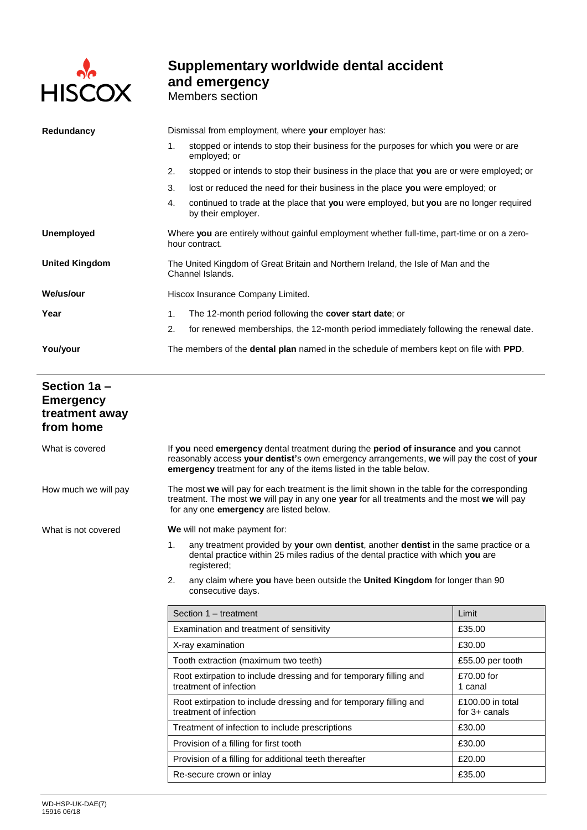

### **Supplementary worldwide dental accident and emergency** Members section

**Redundancy** Dismissal from employment, where **your** employer has: 1. stopped or intends to stop their business for the purposes for which **you** were or are employed; or 2. stopped or intends to stop their business in the place that **you** are or were employed; or 3. lost or reduced the need for their business in the place **you** were employed; or 4. continued to trade at the place that **you** were employed, but **you** are no longer required by their employer. **Unemployed** Where **you** are entirely without gainful employment whether full-time, part-time or on a zerohour contract. **United Kingdom** The United Kingdom of Great Britain and Northern Ireland, the Isle of Man and the Channel Islands. We/us/our **Wells** Hiscox Insurance Company Limited. **Year** 1. The 12-month period following the **cover start date**; or 2. for renewed memberships, the 12-month period immediately following the renewal date. **You/your** The members of the **dental plan** named in the schedule of members kept on file with **PPD**.

#### **Section 1a – Emergency treatment away from home** What is covered If **you** need **emergency** dental treatment during the **period of insurance** and **you** cannot reasonably access **your dentist'**s own emergency arrangements, **we** will pay the cost of **your emergency** treatment for any of the items listed in the table below. How much we will pay The most **we** will pay for each treatment is the limit shown in the table for the corresponding treatment. The most **we** will pay in any one **year** for all treatments and the most **we** will pay for any one **emergency** are listed below. What is not covered **We** will not make payment for: 1. any treatment provided by **your** own **dentist**, another **dentist** in the same practice or a dental practice within 25 miles radius of the dental practice with which **you** are registered; 2. any claim where **you** have been outside the **United Kingdom** for longer than 90 consecutive days. Section 1 – treatment Limit Limit Limit Limit Limit Limit Limit Limit Limit Limit Examination and treatment of sensitivity **EXAMING 2018** 235.00 X-ray examination  $\vert$  £30.00 Tooth extraction (maximum two teeth) **E55.00** per tooth **E55.00** per tooth Root extirpation to include dressing and for temporary filling and treatment of infection £70.00 for 1 canal Root extirpation to include dressing and for temporary filling and treatment of infection £100.00 in total for 3+ canals Treatment of infection to include prescriptions | £30.00 Provision of a filling for first tooth  $\left| \right.$  £30.00 Provision of a filling for additional teeth thereafter <br>  $\vert$  £20.00 Re-secure crown or inlay **EXALL** Re-secure crown or inlay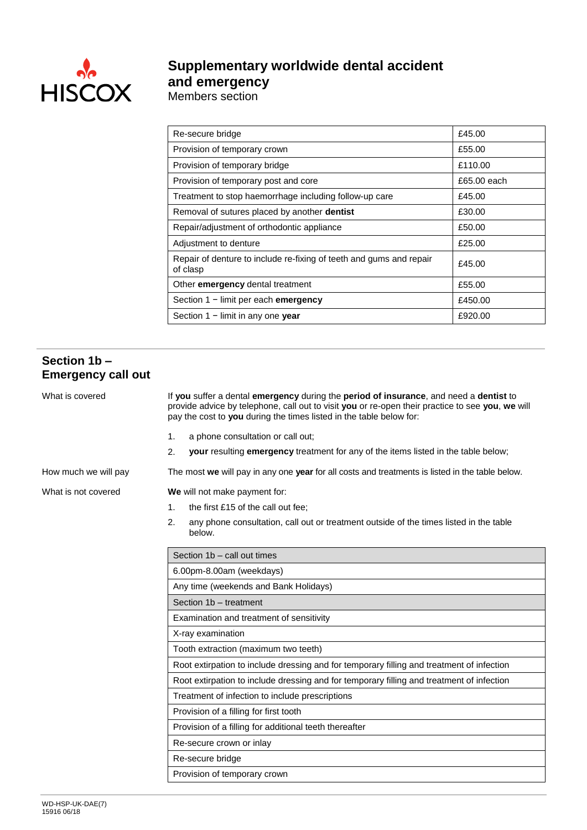

Members section

| Re-secure bridge                                                                | £45.00      |
|---------------------------------------------------------------------------------|-------------|
| Provision of temporary crown                                                    | £55.00      |
| Provision of temporary bridge                                                   | £110.00     |
| Provision of temporary post and core                                            | £65.00 each |
| Treatment to stop haemorrhage including follow-up care                          | £45.00      |
| Removal of sutures placed by another <b>dentist</b>                             | £30.00      |
| Repair/adjustment of orthodontic appliance                                      | £50.00      |
| Adjustment to denture                                                           | £25.00      |
| Repair of denture to include re-fixing of teeth and gums and repair<br>of clasp | £45.00      |
| Other emergency dental treatment                                                | £55.00      |
| Section $1$ – limit per each <b>emergency</b>                                   | £450.00     |
| Section $1 -$ limit in any one year                                             | £920.00     |

### **Section 1b – Emergency call out**

| What is covered      | If you suffer a dental emergency during the period of insurance, and need a dentist to<br>provide advice by telephone, call out to visit you or re-open their practice to see you, we will<br>pay the cost to you during the times listed in the table below for: |  |  |  |  |
|----------------------|-------------------------------------------------------------------------------------------------------------------------------------------------------------------------------------------------------------------------------------------------------------------|--|--|--|--|
|                      | a phone consultation or call out;<br>1.                                                                                                                                                                                                                           |  |  |  |  |
|                      | 2.<br>your resulting emergency treatment for any of the items listed in the table below;                                                                                                                                                                          |  |  |  |  |
| How much we will pay | The most we will pay in any one year for all costs and treatments is listed in the table below.                                                                                                                                                                   |  |  |  |  |
| What is not covered  | We will not make payment for:                                                                                                                                                                                                                                     |  |  |  |  |
|                      | the first £15 of the call out fee;<br>1.                                                                                                                                                                                                                          |  |  |  |  |
|                      | 2.<br>any phone consultation, call out or treatment outside of the times listed in the table<br>below.                                                                                                                                                            |  |  |  |  |
|                      | Section 1b - call out times                                                                                                                                                                                                                                       |  |  |  |  |
|                      | 6.00pm-8.00am (weekdays)                                                                                                                                                                                                                                          |  |  |  |  |
|                      | Any time (weekends and Bank Holidays)                                                                                                                                                                                                                             |  |  |  |  |
|                      | Section 1b - treatment                                                                                                                                                                                                                                            |  |  |  |  |
|                      | Examination and treatment of sensitivity                                                                                                                                                                                                                          |  |  |  |  |
|                      | X-ray examination                                                                                                                                                                                                                                                 |  |  |  |  |
|                      | Tooth extraction (maximum two teeth)                                                                                                                                                                                                                              |  |  |  |  |
|                      | Root extirpation to include dressing and for temporary filling and treatment of infection                                                                                                                                                                         |  |  |  |  |
|                      | Root extirpation to include dressing and for temporary filling and treatment of infection                                                                                                                                                                         |  |  |  |  |
|                      | Treatment of infection to include prescriptions                                                                                                                                                                                                                   |  |  |  |  |
|                      | Provision of a filling for first tooth                                                                                                                                                                                                                            |  |  |  |  |
|                      | Provision of a filling for additional teeth thereafter                                                                                                                                                                                                            |  |  |  |  |
|                      | Re-secure crown or inlay                                                                                                                                                                                                                                          |  |  |  |  |
|                      | Re-secure bridge                                                                                                                                                                                                                                                  |  |  |  |  |
|                      | Provision of temporary crown                                                                                                                                                                                                                                      |  |  |  |  |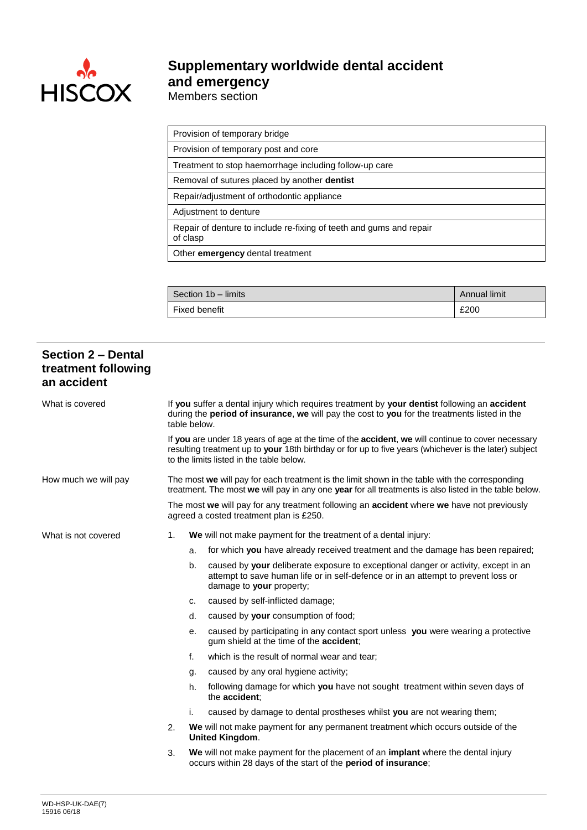

| Provision of temporary bridge                                                   |
|---------------------------------------------------------------------------------|
| Provision of temporary post and core                                            |
| Treatment to stop haemorrhage including follow-up care                          |
| Removal of sutures placed by another <b>dentist</b>                             |
| Repair/adjustment of orthodontic appliance                                      |
| Adjustment to denture                                                           |
| Repair of denture to include re-fixing of teeth and gums and repair<br>of clasp |
| Other emergency dental treatment                                                |

| Section 1b - limits | Annual limit |  |
|---------------------|--------------|--|
| Fixed benefit       | £200         |  |

| Section 2 - Dental<br>treatment following<br>an accident |                                                                                                                                                                                                              |                                                                                                                                      |                                                                                                                                                                                                                                                        |  |  |
|----------------------------------------------------------|--------------------------------------------------------------------------------------------------------------------------------------------------------------------------------------------------------------|--------------------------------------------------------------------------------------------------------------------------------------|--------------------------------------------------------------------------------------------------------------------------------------------------------------------------------------------------------------------------------------------------------|--|--|
| What is covered                                          | If you suffer a dental injury which requires treatment by your dentist following an accident<br>during the period of insurance, we will pay the cost to you for the treatments listed in the<br>table below. |                                                                                                                                      |                                                                                                                                                                                                                                                        |  |  |
|                                                          |                                                                                                                                                                                                              |                                                                                                                                      | If you are under 18 years of age at the time of the accident, we will continue to cover necessary<br>resulting treatment up to your 18th birthday or for up to five years (whichever is the later) subject<br>to the limits listed in the table below. |  |  |
| How much we will pay                                     |                                                                                                                                                                                                              |                                                                                                                                      | The most we will pay for each treatment is the limit shown in the table with the corresponding<br>treatment. The most we will pay in any one year for all treatments is also listed in the table below.                                                |  |  |
|                                                          |                                                                                                                                                                                                              | The most we will pay for any treatment following an accident where we have not previously<br>agreed a costed treatment plan is £250. |                                                                                                                                                                                                                                                        |  |  |
| What is not covered                                      | 1.                                                                                                                                                                                                           |                                                                                                                                      | We will not make payment for the treatment of a dental injury:                                                                                                                                                                                         |  |  |
|                                                          |                                                                                                                                                                                                              | a.                                                                                                                                   | for which you have already received treatment and the damage has been repaired;                                                                                                                                                                        |  |  |
|                                                          |                                                                                                                                                                                                              | b.                                                                                                                                   | caused by your deliberate exposure to exceptional danger or activity, except in an<br>attempt to save human life or in self-defence or in an attempt to prevent loss or<br>damage to your property;                                                    |  |  |
|                                                          |                                                                                                                                                                                                              | c.                                                                                                                                   | caused by self-inflicted damage;                                                                                                                                                                                                                       |  |  |
|                                                          |                                                                                                                                                                                                              | d.                                                                                                                                   | caused by your consumption of food;                                                                                                                                                                                                                    |  |  |
|                                                          |                                                                                                                                                                                                              | е.                                                                                                                                   | caused by participating in any contact sport unless you were wearing a protective<br>gum shield at the time of the accident;                                                                                                                           |  |  |
|                                                          |                                                                                                                                                                                                              | f.                                                                                                                                   | which is the result of normal wear and tear;                                                                                                                                                                                                           |  |  |
|                                                          |                                                                                                                                                                                                              | g.                                                                                                                                   | caused by any oral hygiene activity;                                                                                                                                                                                                                   |  |  |
|                                                          |                                                                                                                                                                                                              | h.                                                                                                                                   | following damage for which you have not sought treatment within seven days of<br>the accident:                                                                                                                                                         |  |  |
|                                                          |                                                                                                                                                                                                              | i.                                                                                                                                   | caused by damage to dental prostheses whilst you are not wearing them;                                                                                                                                                                                 |  |  |
|                                                          | 2.                                                                                                                                                                                                           |                                                                                                                                      | We will not make payment for any permanent treatment which occurs outside of the<br><b>United Kingdom.</b>                                                                                                                                             |  |  |
|                                                          | 3.                                                                                                                                                                                                           |                                                                                                                                      | We will not make payment for the placement of an implant where the dental injury<br>occurs within 28 days of the start of the period of insurance;                                                                                                     |  |  |
|                                                          |                                                                                                                                                                                                              |                                                                                                                                      |                                                                                                                                                                                                                                                        |  |  |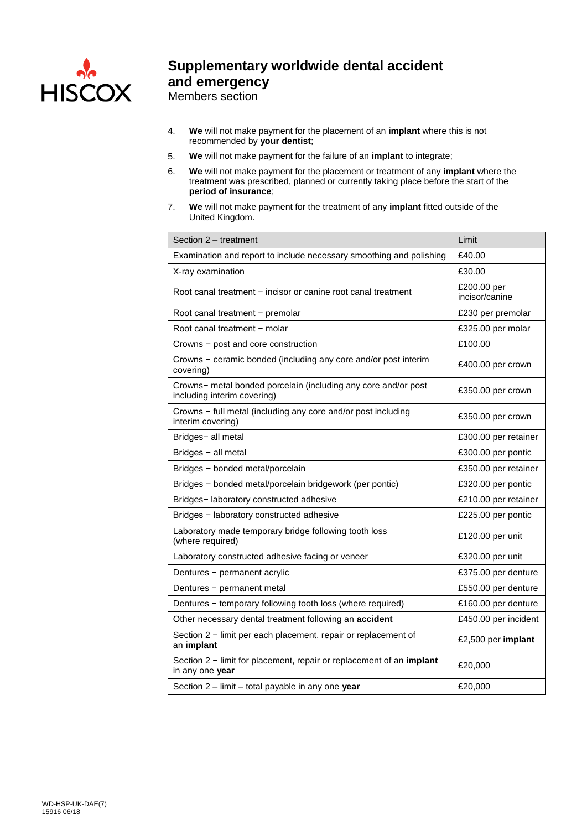

- 4. **We** will not make payment for the placement of an **implant** where this is not recommended by **your dentist**;
- 5. **We** will not make payment for the failure of an **implant** to integrate;
- 6. **We** will not make payment for the placement or treatment of any **implant** where the treatment was prescribed, planned or currently taking place before the start of the **period of insurance**;
- 7. **We** will not make payment for the treatment of any **implant** fitted outside of the United Kingdom.

| Section 2 - treatment                                                                         | Limit                         |
|-----------------------------------------------------------------------------------------------|-------------------------------|
| Examination and report to include necessary smoothing and polishing                           | £40.00                        |
| X-ray examination                                                                             | £30.00                        |
| Root canal treatment - incisor or canine root canal treatment                                 | £200.00 per<br>incisor/canine |
| Root canal treatment - premolar                                                               | £230 per premolar             |
| Root canal treatment - molar                                                                  | £325.00 per molar             |
| Crowns - post and core construction                                                           | £100.00                       |
| Crowns - ceramic bonded (including any core and/or post interim<br>covering)                  | £400.00 per crown             |
| Crowns- metal bonded porcelain (including any core and/or post<br>including interim covering) | £350.00 per crown             |
| Crowns - full metal (including any core and/or post including<br>interim covering)            | £350.00 per crown             |
| Bridges- all metal                                                                            | £300.00 per retainer          |
| Bridges - all metal                                                                           | £300.00 per pontic            |
| Bridges - bonded metal/porcelain                                                              | £350.00 per retainer          |
| Bridges - bonded metal/porcelain bridgework (per pontic)                                      | £320.00 per pontic            |
| Bridges-laboratory constructed adhesive                                                       | £210.00 per retainer          |
| Bridges - laboratory constructed adhesive                                                     | £225.00 per pontic            |
| Laboratory made temporary bridge following tooth loss<br>(where required)                     | £120.00 per unit              |
| Laboratory constructed adhesive facing or veneer                                              | £320.00 per unit              |
| Dentures - permanent acrylic                                                                  | £375.00 per denture           |
| Dentures - permanent metal                                                                    | £550.00 per denture           |
| Dentures - temporary following tooth loss (where required)                                    | £160.00 per denture           |
| Other necessary dental treatment following an accident                                        | £450.00 per incident          |
| Section 2 - limit per each placement, repair or replacement of<br>an implant                  | £2,500 per implant            |
| Section 2 - limit for placement, repair or replacement of an implant<br>in any one year       | £20,000                       |
| Section 2 - limit - total payable in any one year                                             | £20,000                       |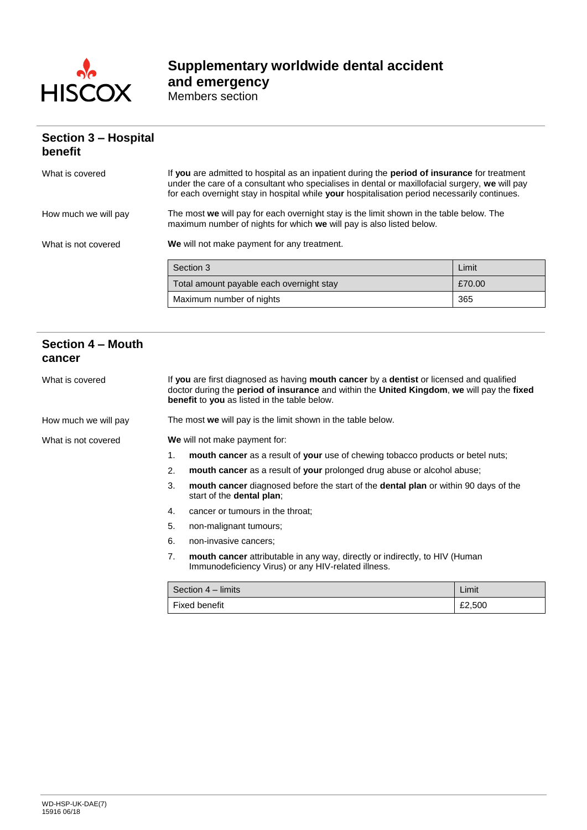

**Supplementary worldwide dental accident and emergency** Members section

#### **Section 3 – Hospital benefit**

| What is covered      | If you are admitted to hospital as an inpatient during the period of insurance for treatment<br>under the care of a consultant who specialises in dental or maxillofacial surgery, we will pay<br>for each overnight stay in hospital while your hospitalisation period necessarily continues. |                                                                                                                                                                 |  |  |
|----------------------|------------------------------------------------------------------------------------------------------------------------------------------------------------------------------------------------------------------------------------------------------------------------------------------------|-----------------------------------------------------------------------------------------------------------------------------------------------------------------|--|--|
| How much we will pay |                                                                                                                                                                                                                                                                                                | The most we will pay for each overnight stay is the limit shown in the table below. The<br>maximum number of nights for which we will pay is also listed below. |  |  |
| What is not covered  | We will not make payment for any treatment.                                                                                                                                                                                                                                                    |                                                                                                                                                                 |  |  |
|                      | Section 3                                                                                                                                                                                                                                                                                      | Limit                                                                                                                                                           |  |  |
|                      | Total amount payable each overnight stay                                                                                                                                                                                                                                                       | £70.00                                                                                                                                                          |  |  |
|                      | Maximum number of nights                                                                                                                                                                                                                                                                       | 365                                                                                                                                                             |  |  |

#### **Section 4 – Mouth cancer**

| What is covered      | If you are first diagnosed as having mouth cancer by a dentist or licensed and qualified<br>doctor during the <b>period of insurance</b> and within the <b>United Kingdom</b> , we will pay the fixed<br>benefit to you as listed in the table below. |                                                                                                                                        |  |  |
|----------------------|-------------------------------------------------------------------------------------------------------------------------------------------------------------------------------------------------------------------------------------------------------|----------------------------------------------------------------------------------------------------------------------------------------|--|--|
| How much we will pay | The most we will pay is the limit shown in the table below.                                                                                                                                                                                           |                                                                                                                                        |  |  |
| What is not covered  | We will not make payment for:                                                                                                                                                                                                                         |                                                                                                                                        |  |  |
|                      | 1.                                                                                                                                                                                                                                                    | mouth cancer as a result of your use of chewing tobacco products or betel nuts;                                                        |  |  |
|                      | 2.                                                                                                                                                                                                                                                    | mouth cancer as a result of your prolonged drug abuse or alcohol abuse;                                                                |  |  |
|                      | 3.                                                                                                                                                                                                                                                    | <b>mouth cancer</b> diagnosed before the start of the <b>dental plan</b> or within 90 days of the<br>start of the <b>dental plan</b> : |  |  |
|                      | 4.                                                                                                                                                                                                                                                    | cancer or tumours in the throat:                                                                                                       |  |  |
|                      | 5.                                                                                                                                                                                                                                                    | non-malignant tumours;                                                                                                                 |  |  |
|                      | 6.                                                                                                                                                                                                                                                    | non-invasive cancers;                                                                                                                  |  |  |
|                      | 7.                                                                                                                                                                                                                                                    | mouth cancer attributable in any way, directly or indirectly, to HIV (Human<br>Immunodeficiency Virus) or any HIV-related illness.     |  |  |

| Section 4 – limits | Limit  |
|--------------------|--------|
| Fixed benefit      | £2,500 |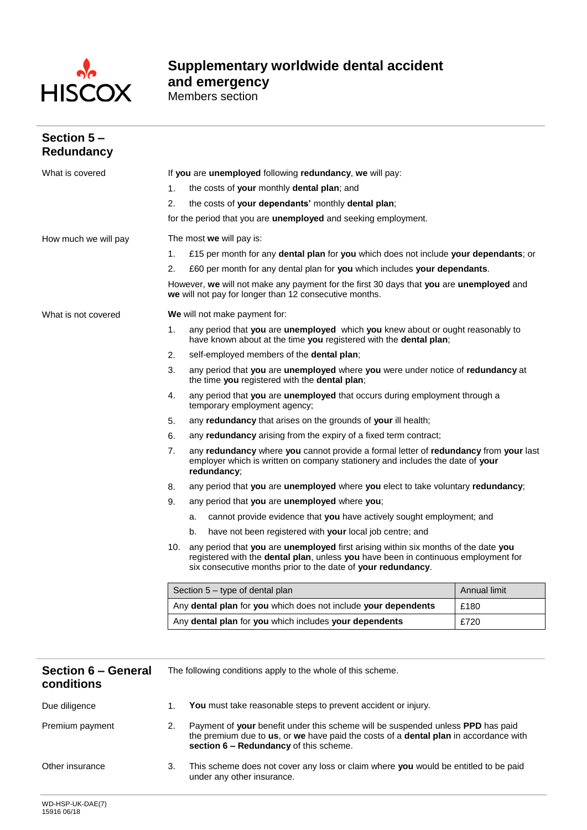

**Section 5 –**

## **Supplementary worldwide dental accident and emergency**

| <b>Redundancy</b>                 |                                                                                                                                                                                                                         |                                                                                                                                                                                                                                              |              |  |  |  |  |
|-----------------------------------|-------------------------------------------------------------------------------------------------------------------------------------------------------------------------------------------------------------------------|----------------------------------------------------------------------------------------------------------------------------------------------------------------------------------------------------------------------------------------------|--------------|--|--|--|--|
| What is covered                   | If you are unemployed following redundancy, we will pay:                                                                                                                                                                |                                                                                                                                                                                                                                              |              |  |  |  |  |
|                                   | 1.                                                                                                                                                                                                                      | the costs of your monthly dental plan; and                                                                                                                                                                                                   |              |  |  |  |  |
|                                   | 2.                                                                                                                                                                                                                      | the costs of your dependants' monthly dental plan;                                                                                                                                                                                           |              |  |  |  |  |
|                                   |                                                                                                                                                                                                                         | for the period that you are <b>unemployed</b> and seeking employment.                                                                                                                                                                        |              |  |  |  |  |
| How much we will pay              | The most we will pay is:                                                                                                                                                                                                |                                                                                                                                                                                                                                              |              |  |  |  |  |
|                                   | 1.                                                                                                                                                                                                                      | £15 per month for any dental plan for you which does not include your dependants; or                                                                                                                                                         |              |  |  |  |  |
|                                   | 2.                                                                                                                                                                                                                      | £60 per month for any dental plan for you which includes your dependants.                                                                                                                                                                    |              |  |  |  |  |
|                                   |                                                                                                                                                                                                                         | However, we will not make any payment for the first 30 days that you are unemployed and<br>we will not pay for longer than 12 consecutive months.                                                                                            |              |  |  |  |  |
| What is not covered               |                                                                                                                                                                                                                         | We will not make payment for:                                                                                                                                                                                                                |              |  |  |  |  |
|                                   | 1.                                                                                                                                                                                                                      | any period that you are unemployed which you knew about or ought reasonably to<br>have known about at the time you registered with the dental plan;                                                                                          |              |  |  |  |  |
|                                   | 2.                                                                                                                                                                                                                      | self-employed members of the dental plan;                                                                                                                                                                                                    |              |  |  |  |  |
|                                   | 3.                                                                                                                                                                                                                      | any period that you are unemployed where you were under notice of redundancy at<br>the time you registered with the dental plan;                                                                                                             |              |  |  |  |  |
|                                   | 4.                                                                                                                                                                                                                      | any period that you are unemployed that occurs during employment through a<br>temporary employment agency;                                                                                                                                   |              |  |  |  |  |
|                                   | 5.                                                                                                                                                                                                                      | any redundancy that arises on the grounds of your ill health;                                                                                                                                                                                |              |  |  |  |  |
|                                   | 6.                                                                                                                                                                                                                      | any redundancy arising from the expiry of a fixed term contract;                                                                                                                                                                             |              |  |  |  |  |
|                                   | 7.                                                                                                                                                                                                                      | any redundancy where you cannot provide a formal letter of redundancy from your last<br>employer which is written on company stationery and includes the date of your<br>redundancy;                                                         |              |  |  |  |  |
|                                   | 8.                                                                                                                                                                                                                      | any period that you are unemployed where you elect to take voluntary redundancy;                                                                                                                                                             |              |  |  |  |  |
|                                   | 9.                                                                                                                                                                                                                      | any period that you are unemployed where you;                                                                                                                                                                                                |              |  |  |  |  |
|                                   |                                                                                                                                                                                                                         | cannot provide evidence that you have actively sought employment; and<br>a.                                                                                                                                                                  |              |  |  |  |  |
|                                   |                                                                                                                                                                                                                         | have not been registered with your local job centre; and<br>b.                                                                                                                                                                               |              |  |  |  |  |
|                                   |                                                                                                                                                                                                                         | 10. any period that you are unemployed first arising within six months of the date you<br>registered with the dental plan, unless you have been in continuous employment for<br>six consecutive months prior to the date of your redundancy. |              |  |  |  |  |
|                                   |                                                                                                                                                                                                                         | Section 5 - type of dental plan                                                                                                                                                                                                              | Annual limit |  |  |  |  |
|                                   |                                                                                                                                                                                                                         | Any dental plan for you which does not include your dependents                                                                                                                                                                               | £180         |  |  |  |  |
|                                   |                                                                                                                                                                                                                         | Any dental plan for you which includes your dependents                                                                                                                                                                                       | £720         |  |  |  |  |
|                                   |                                                                                                                                                                                                                         |                                                                                                                                                                                                                                              |              |  |  |  |  |
| Section 6 - General<br>conditions |                                                                                                                                                                                                                         | The following conditions apply to the whole of this scheme.                                                                                                                                                                                  |              |  |  |  |  |
| Due diligence                     | 1.                                                                                                                                                                                                                      | You must take reasonable steps to prevent accident or injury.                                                                                                                                                                                |              |  |  |  |  |
| Premium payment                   | Payment of your benefit under this scheme will be suspended unless PPD has paid<br>2.<br>the premium due to us, or we have paid the costs of a dental plan in accordance with<br>section 6 - Redundancy of this scheme. |                                                                                                                                                                                                                                              |              |  |  |  |  |
| Other insurance                   | This scheme does not cover any loss or claim where you would be entitled to be paid<br>3.<br>under any other insurance.                                                                                                 |                                                                                                                                                                                                                                              |              |  |  |  |  |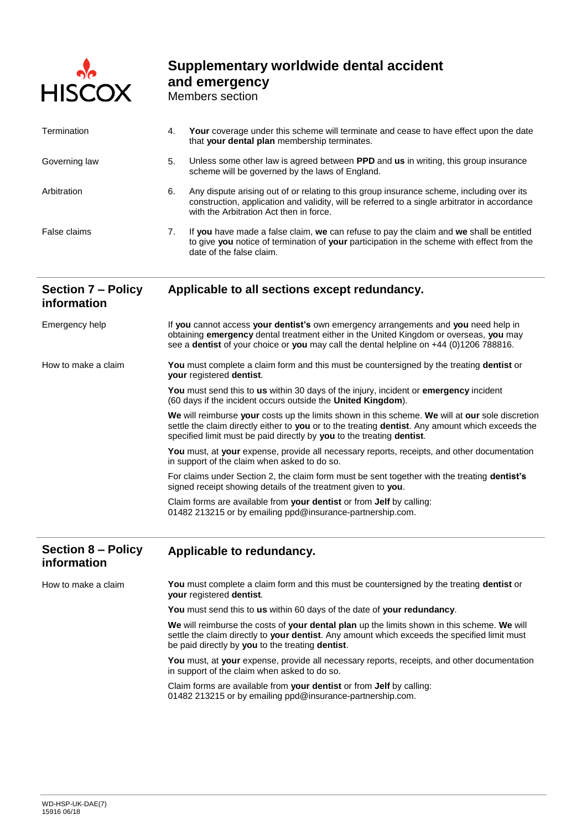

Members section

| Termination                              | Your coverage under this scheme will terminate and cease to have effect upon the date<br>4.<br>that your dental plan membership terminates.                                                                                                                                  |  |
|------------------------------------------|------------------------------------------------------------------------------------------------------------------------------------------------------------------------------------------------------------------------------------------------------------------------------|--|
| Governing law                            | 5.<br>Unless some other law is agreed between PPD and us in writing, this group insurance<br>scheme will be governed by the laws of England.                                                                                                                                 |  |
| Arbitration                              | 6.<br>Any dispute arising out of or relating to this group insurance scheme, including over its<br>construction, application and validity, will be referred to a single arbitrator in accordance<br>with the Arbitration Act then in force.                                  |  |
| False claims                             | 7 <sub>1</sub><br>If you have made a false claim, we can refuse to pay the claim and we shall be entitled<br>to give you notice of termination of your participation in the scheme with effect from the<br>date of the false claim.                                          |  |
| <b>Section 7 - Policy</b><br>information | Applicable to all sections except redundancy.                                                                                                                                                                                                                                |  |
| Emergency help                           | If you cannot access your dentist's own emergency arrangements and you need help in<br>obtaining emergency dental treatment either in the United Kingdom or overseas, you may<br>see a dentist of your choice or you may call the dental helpline on +44 (0)1206 788816.     |  |
| How to make a claim                      | You must complete a claim form and this must be countersigned by the treating dentist or<br>your registered dentist.                                                                                                                                                         |  |
|                                          | You must send this to us within 30 days of the injury, incident or emergency incident<br>(60 days if the incident occurs outside the United Kingdom).                                                                                                                        |  |
|                                          | We will reimburse your costs up the limits shown in this scheme. We will at our sole discretion<br>settle the claim directly either to you or to the treating dentist. Any amount which exceeds the<br>specified limit must be paid directly by you to the treating dentist. |  |
|                                          | You must, at your expense, provide all necessary reports, receipts, and other documentation<br>in support of the claim when asked to do so.                                                                                                                                  |  |
|                                          | For claims under Section 2, the claim form must be sent together with the treating dentist's<br>signed receipt showing details of the treatment given to you.                                                                                                                |  |
|                                          | Claim forms are available from your dentist or from Jelf by calling:<br>01482 213215 or by emailing ppd@insurance-partnership.com.                                                                                                                                           |  |
| <b>Section 8 - Policy</b><br>information | Applicable to redundancy.                                                                                                                                                                                                                                                    |  |
| How to make a claim                      | <b>You</b> must complete a claim form and this must be countersigned by the treating <b>dentist</b> or<br>your registered dentist.                                                                                                                                           |  |
|                                          | You must send this to us within 60 days of the date of your redundancy.                                                                                                                                                                                                      |  |
|                                          |                                                                                                                                                                                                                                                                              |  |

**We** will reimburse the costs of **your dental plan** up the limits shown in this scheme. **We** will settle the claim directly to **your dentist**. Any amount which exceeds the specified limit must be paid directly by **you** to the treating **dentist**.

**You** must, at **your** expense, provide all necessary reports, receipts, and other documentation in support of the claim when asked to do so.

Claim forms are available from **your dentist** or from **Jelf** by calling: 01482 213215 or by emailing [ppd@insurance-partnership.com.](mailto:ppd@insurance-partnership.com)